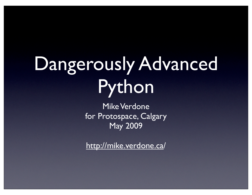## Dangerously Advanced Python

Mike Verdone for Protospace, Calgary May 2009

http://mike.verdone.ca/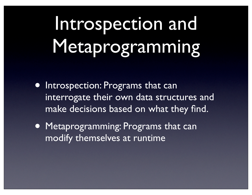## Introspection and Metaprogramming

- Introspection: Programs that can interrogate their own data structures and make decisions based on what they find.
- Metaprogramming: Programs that can modify themselves at runtime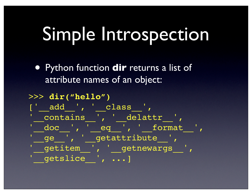#### Simple Introspection

• Python function **dir** returns a list of attribute names of an object:

#### >>> **dir("hello")**

['\_\_\_\_add\_\_\_', '\_\_\_\_\_\_\_\_class\_\_\_', '\_\_contains\_\_', '\_\_delattr ', '\_\_doc\_\_', '\_\_eq\_\_', '\_\_format\_\_', '\_ge\_\_', '\_getattribute\_', '\_\_getitem\_\_', '\_\_getnewargs\_\_', '\_\_getslice\_\_', ...]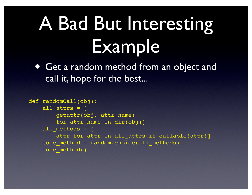### A Bad But Interesting Example

• Get a random method from an object and call it, hope for the best...

```
def randomCall(obj):
    all attrs = \lceil getattr(obj, attr_name) 
        for attr name in dir(obj)]
    all methods = \Gammaattr for attr in all attrs if callable(attr)]
    some method = random.choice(all methods)
    some method()
```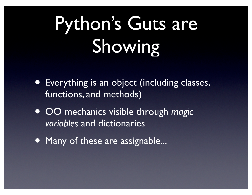## Python's Guts are Showing

- Everything is an object (including classes, functions, and methods)
- OO mechanics visible through *magic variables* and dictionaries
- Many of these are assignable...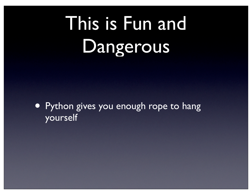## This is Fun and Dangerous

• Python gives you enough rope to hang yourself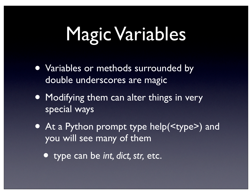#### Magic Variables

- Variables or methods surrounded by double underscores are magic
- Modifying them can alter things in very special ways
- At a Python prompt type help( $\langle$ type $\rangle$ ) and you will see many of them
	- type can be *int, dict, str,* etc.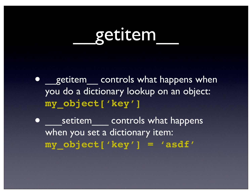#### \_\_getitem\_\_

- getitem controls what happens when you do a dictionary lookup on an object: **my\_object['key']**
	- setitem controls what happens when you set a dictionary item: **my\_object['key'] = 'asdf'**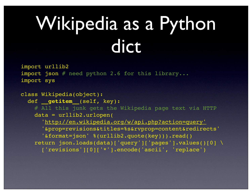## Wikipedia as a Python dict

import urllib2 import json # need python 2.6 for this library... import sys

```
class Wikipedia(object):
  def __getitem__(self, key):
     # All this junk gets the Wikipedia page text via HTTP
     data = urllib2.urlopen(
       'http://en.wikipedia.org/w/api.php?action=query'
       '&prop=revisions&titles=%s&rvprop=content&redirects'
       '&format=json' %(urllib2.quote(key))).read()
     return json.loads(data)['query']['pages'].values()[0] \
       ['revisions'][0]['*'].encode('ascii', 'replace')
```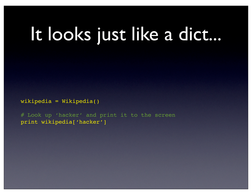#### It looks just like a dict...

wikipedia = Wikipedia()

# Look up 'hacker' and print it to the screen print wikipedia['hacker']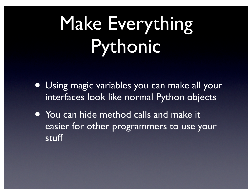## Make Everything Pythonic

- Using magic variables you can make all your interfaces look like normal Python objects
- You can hide method calls and make it easier for other programmers to use your stuff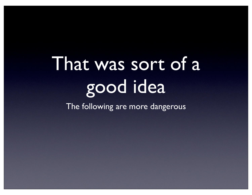# That was sort of a good idea

The following are more dangerous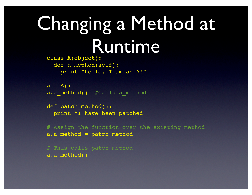#### Changing a Method at Runtime

class A(object): def a method(self): print "hello, I am an A!"

 $a = A()$ a.a method() #Calls a method

```
def patch method():
   print "I have been patched"
```

```
# Assign the function over the existing method
a.a_method = patch_method
```

```
# This calls patch method
a.a_method()
```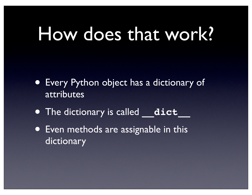#### How does that work?

- Every Python object has a dictionary of attributes
- The dictionary is called **dict**
- Even methods are assignable in this dictionary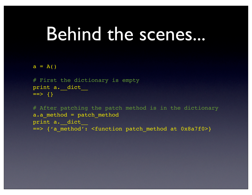#### Behind the scenes...

 $a = A()$ 

```
# First the dictionary is empty
print a. dict
=>=> {}
```
# After patching the patch method is in the dictionary a.a\_method = patch\_method print a. dict ==> {'a\_method': <function patch\_method at 0x8a7f0>}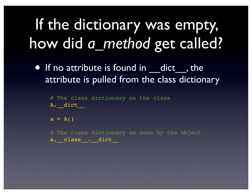#### If the dictionary was empty, how did *a\_method* get called?

• If no attribute is found in dict, the attribute is pulled from the class dictionary

# The class dictionary on the class A. dict

 $a = A()$ 

# The class dictionary as seen by the object a.\_class\_\_.\_dict\_\_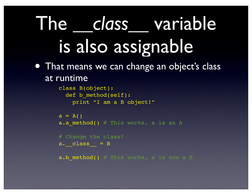#### The *\_\_class\_\_* variable is also assignable • That means we can change an object's class

at runtime

```
class B(object):
   def b_method(self):
     print "I am a B object!"
```

```
a = A()a.a method() # This works, a is an A
```
# Change the class!  $a.$  class  $=$  B

a.b method()  $#$  This works, a is now a B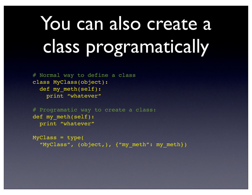## You can also create a class programatically

# Normal way to define a class class MyClass(object): def my meth(self): print "whatever"

# Programatic way to create a class: def my meth(self): print "whatever"

```
MyClass = type(
   "MyClass", (object,), {"my_meth": my_meth})
```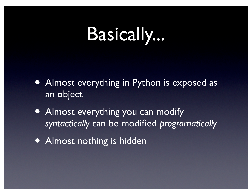#### Basically...

- Almost everything in Python is exposed as an object
- Almost everything you can modify *syntactically* can be modified *programatically*
- Almost nothing is hidden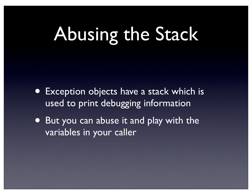#### Abusing the Stack

- Exception objects have a stack which is used to print debugging information
- But you can abuse it and play with the variables in your caller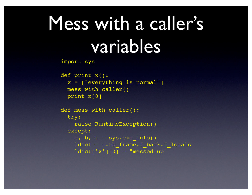#### Mess with a caller's variables

import sys

```
def print_x():
   x = ["everything is normal"]
  mess with caller()
   print x[0] 
def mess with caller():
  try:
     raise RuntimeException()
   except:
    e, b, t = sys.exc_info()ldict = t.tb frame.f back.f locals
    ldict['x'][0] = "message up"
```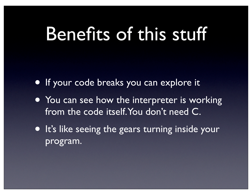#### Benefits of this stuff

- If your code breaks you can explore it
- You can see how the interpreter is working from the code itself. You don't need C.
- It's like seeing the gears turning inside your program.